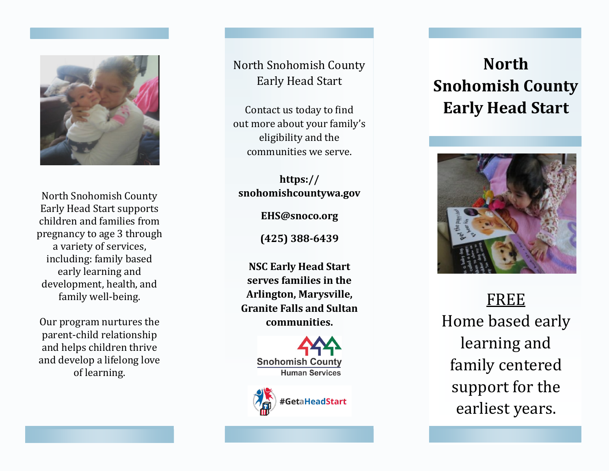

North Snohomish County Early Head Start supports children and families from pregnancy to age 3 through a variety of services, including: family based early learning and development, health, and family well -being.

Our program nurture s the parent -child relationship and help s children thrive and develop a lifelong love of learning.

North Snohomish County Early Head Start

Contact us today to find out more about your family 's eligibility and the communities we serve.

**https:// snohomishcountywa.gov** 

**EHS@snoco.org**

**(425) 388 -6439**

**NSC Early Head Start serves families in the Arlington, Marysville, Granite Falls and Sultan communities.**





# **North Snohomish County Early Head Start**



FREE Home based early learning and family centered support for the earliest years.